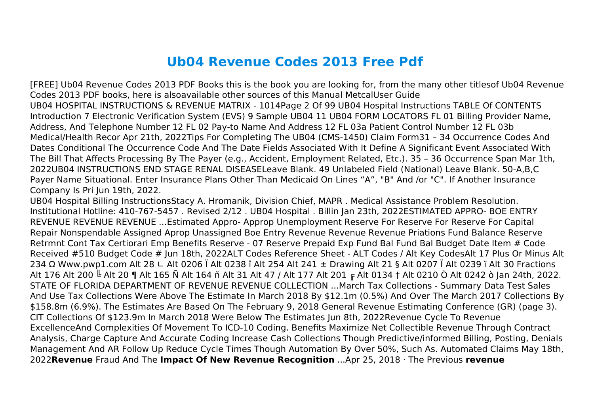## **Ub04 Revenue Codes 2013 Free Pdf**

[FREE] Ub04 Revenue Codes 2013 PDF Books this is the book you are looking for, from the many other titlesof Ub04 Revenue Codes 2013 PDF books, here is alsoavailable other sources of this Manual MetcalUser Guide UB04 HOSPITAL INSTRUCTIONS & REVENUE MATRIX - 1014Page 2 Of 99 UB04 Hospital Instructions TABLE Of CONTENTS Introduction 7 Electronic Verification System (EVS) 9 Sample UB04 11 UB04 FORM LOCATORS FL 01 Billing Provider Name, Address, And Telephone Number 12 FL 02 Pay-to Name And Address 12 FL 03a Patient Control Number 12 FL 03b Medical/Health Recor Apr 21th, 2022Tips For Completing The UB04 (CMS-1450) Claim Form31 – 34 Occurrence Codes And Dates Conditional The Occurrence Code And The Date Fields Associated With It Define A Significant Event Associated With The Bill That Affects Processing By The Payer (e.g., Accident, Employment Related, Etc.). 35 – 36 Occurrence Span Mar 1th, 2022UB04 INSTRUCTIONS END STAGE RENAL DISEASELeave Blank. 49 Unlabeled Field (National) Leave Blank. 50-A,B,C Payer Name Situational. Enter Insurance Plans Other Than Medicaid On Lines "A", "B" And /or "C". If Another Insurance Company Is Pri Jun 19th, 2022.

UB04 Hospital Billing InstructionsStacy A. Hromanik, Division Chief, MAPR . Medical Assistance Problem Resolution. Institutional Hotline: 410-767-5457 . Revised 2/12 . UB04 Hospital . Billin Jan 23th, 2022ESTIMATED APPRO- BOE ENTRY REVENUE REVENUE REVENUE ...Estimated Appro- Approp Unemployment Reserve For Reserve For Reserve For Capital Repair Nonspendable Assigned Aprop Unassigned Boe Entry Revenue Revenue Revenue Priations Fund Balance Reserve Retrmnt Cont Tax Certiorari Emp Benefits Reserve - 07 Reserve Prepaid Exp Fund Bal Fund Bal Budget Date Item # Code Received #510 Budget Code # Jun 18th, 2022ALT Codes Reference Sheet - ALT Codes / Alt Key CodesAlt 17 Plus Or Minus Alt 234 Ω Www.pwp1.com Alt 28 ∟ Alt 0206 Ï Alt 0238 î Alt 254 Alt 241 ± Drawing Alt 21 § Alt 0207 Ï Alt 0239 ï Alt 30 Fractions Alt 176 Alt 200 ╚ Alt 20 ¶ Alt 165 Ñ Alt 164 ñ Alt 31 Alt 47 / Alt 177 Alt 201 ╔ Alt 0134 † Alt 0210 Ò Alt 0242 ò Jan 24th, 2022. STATE OF FLORIDA DEPARTMENT OF REVENUE REVENUE COLLECTION ...March Tax Collections - Summary Data Test Sales And Use Tax Collections Were Above The Estimate In March 2018 By \$12.1m (0.5%) And Over The March 2017 Collections By \$158.8m (6.9%). The Estimates Are Based On The February 9, 2018 General Revenue Estimating Conference (GR) (page 3). CIT Collections Of \$123.9m In March 2018 Were Below The Estimates Jun 8th, 2022Revenue Cycle To Revenue ExcellenceAnd Complexities Of Movement To ICD-10 Coding. Benefits Maximize Net Collectible Revenue Through Contract Analysis, Charge Capture And Accurate Coding Increase Cash Collections Though Predictive/informed Billing, Posting, Denials Management And AR Follow Up Reduce Cycle Times Though Automation By Over 50%, Such As. Automated Claims May 18th, 2022**Revenue** Fraud And The **Impact Of New Revenue Recognition** ...Apr 25, 2018 · The Previous **revenue**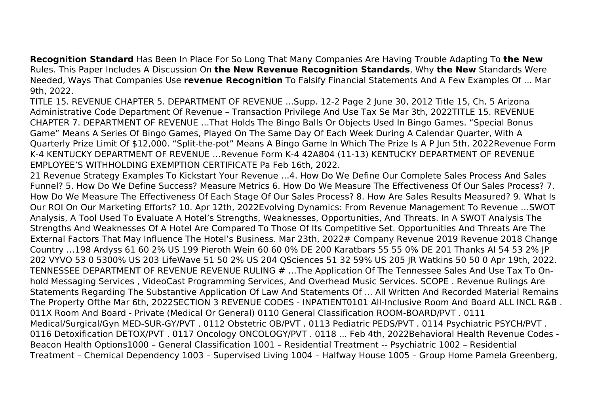**Recognition Standard** Has Been In Place For So Long That Many Companies Are Having Trouble Adapting To **the New** Rules. This Paper Includes A Discussion On **the New Revenue Recognition Standards**, Why **the New** Standards Were Needed, Ways That Companies Use **revenue Recognition** To Falsify Financial Statements And A Few Examples Of ... Mar 9th, 2022.

TITLE 15. REVENUE CHAPTER 5. DEPARTMENT OF REVENUE ...Supp. 12-2 Page 2 June 30, 2012 Title 15, Ch. 5 Arizona Administrative Code Department Of Revenue – Transaction Privilege And Use Tax Se Mar 3th, 2022TITLE 15. REVENUE CHAPTER 7. DEPARTMENT OF REVENUE …That Holds The Bingo Balls Or Objects Used In Bingo Games. "Special Bonus Game" Means A Series Of Bingo Games, Played On The Same Day Of Each Week During A Calendar Quarter, With A Quarterly Prize Limit Of \$12,000. "Split-the-pot" Means A Bingo Game In Which The Prize Is A P Jun 5th, 2022Revenue Form K-4 KENTUCKY DEPARTMENT OF REVENUE …Revenue Form K-4 42A804 (11-13) KENTUCKY DEPARTMENT OF REVENUE EMPLOYEE'S WITHHOLDING EXEMPTION CERTIFICATE Pa Feb 16th, 2022.

21 Revenue Strategy Examples To Kickstart Your Revenue …4. How Do We Define Our Complete Sales Process And Sales Funnel? 5. How Do We Define Success? Measure Metrics 6. How Do We Measure The Effectiveness Of Our Sales Process? 7. How Do We Measure The Effectiveness Of Each Stage Of Our Sales Process? 8. How Are Sales Results Measured? 9. What Is Our ROI On Our Marketing Efforts? 10. Apr 12th, 2022Evolving Dynamics: From Revenue Management To Revenue …SWOT Analysis, A Tool Used To Evaluate A Hotel's Strengths, Weaknesses, Opportunities, And Threats. In A SWOT Analysis The Strengths And Weaknesses Of A Hotel Are Compared To Those Of Its Competitive Set. Opportunities And Threats Are The External Factors That May Influence The Hotel's Business. Mar 23th, 2022# Company Revenue 2019 Revenue 2018 Change Country …198 Ardyss 61 60 2% US 199 Pieroth Wein 60 60 0% DE 200 Karatbars 55 55 0% DE 201 Thanks AI 54 53 2% JP 202 VYVO 53 0 5300% US 203 LifeWave 51 50 2% US 204 QSciences 51 32 59% US 205 JR Watkins 50 50 0 Apr 19th, 2022. TENNESSEE DEPARTMENT OF REVENUE REVENUE RULING # …The Application Of The Tennessee Sales And Use Tax To Onhold Messaging Services , VideoCast Programming Services, And Overhead Music Services. SCOPE . Revenue Rulings Are Statements Regarding The Substantive Application Of Law And Statements Of ... All Written And Recorded Material Remains The Property Ofthe Mar 6th, 2022SECTION 3 REVENUE CODES - INPATIENT0101 All-Inclusive Room And Board ALL INCL R&B . 011X Room And Board - Private (Medical Or General) 0110 General Classification ROOM-BOARD/PVT . 0111 Medical/Surgical/Gyn MED-SUR-GY/PVT . 0112 Obstetric OB/PVT . 0113 Pediatric PEDS/PVT . 0114 Psychiatric PSYCH/PVT . 0116 Detoxification DETOX/PVT . 0117 Oncology ONCOLOGY/PVT . 0118 ... Feb 4th, 2022Behavioral Health Revenue Codes - Beacon Health Options1000 – General Classification 1001 – Residential Treatment -- Psychiatric 1002 – Residential Treatment – Chemical Dependency 1003 – Supervised Living 1004 – Halfway House 1005 – Group Home Pamela Greenberg,